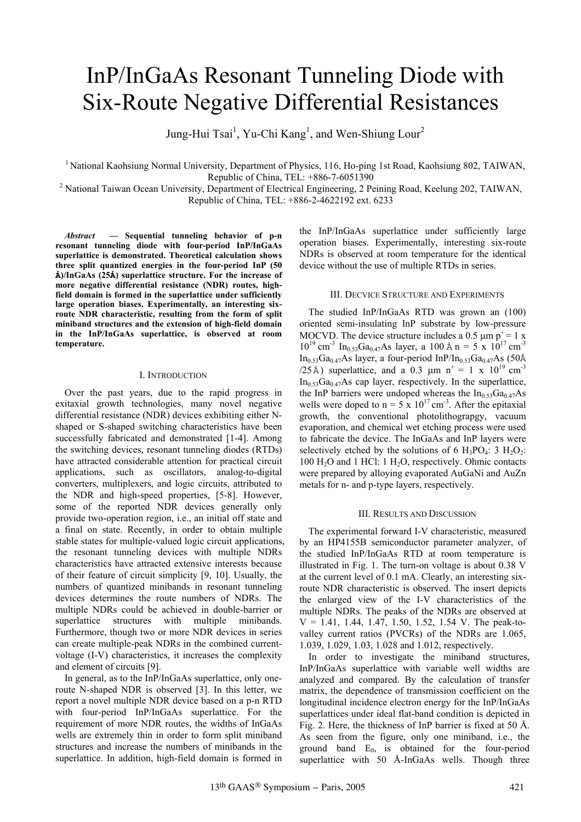# InP/InGaAs Resonant Tunneling Diode with Six-Route Negative Differential Resistances

Jung-Hui Tsai<sup>1</sup>, Yu-Chi Kang<sup>1</sup>, and Wen-Shiung Lour<sup>2</sup>

<sup>1</sup> National Kaohsiung Normal University, Department of Physics, 116, Ho-ping 1st Road, Kaohsiung 802, TAIWAN,

Republic of China, TEL: +886-7-6051390<br><sup>2</sup> National Taiwan Ocean University, Department of Electrical Engineering, 2 Peining Road, Keelung 202, TAIWAN, Republic of China, TEL: +886-2-4622192 ext. 6233

*Abstract* **— Sequential tunneling behavior of p-n resonant tunneling diode with four-period InP/InGaAs superlattice is demonstrated. Theoretical calculation shows three split quantized energies in the four-period InP (50 Å)/InGaAs (25Å) superlattice structure. For the increase of more negative differential resistance (NDR) routes, highfield domain is formed in the superlattice under sufficiently large operation biases. Experimentally, an interesting sixroute NDR characteristic, resulting from the form of split miniband structures and the extension of high-field domain in the InP/InGaAs superlattice, is observed at room temperature.** 

## I. INTRODUCTION

Over the past years, due to the rapid progress in exitaxial growth technologies, many novel negative differential resistance (NDR) devices exhibiting either Nshaped or S-shaped switching characteristics have been successfully fabricated and demonstrated [1-4]. Among the switching devices, resonant tunneling diodes (RTDs) have attracted considerable attention for practical circuit applications, such as oscillators, analog-to-digital converters, multiplexers, and logic circuits, attributed to the NDR and high-speed properties, [5-8]. However, some of the reported NDR devices generally only provide two-operation region, i.e., an initial off state and a final on state. Recently, in order to obtain multiple stable states for multiple-valued logic circuit applications, the resonant tunneling devices with multiple NDRs characteristics have attracted extensive interests because of their feature of circuit simplicity [9, 10]. Usually, the numbers of quantized minibands in resonant tunneling devices determines the route numbers of NDRs. The multiple NDRs could be achieved in double-barrier or superlattice structures with multiple minibands. Furthermore, though two or more NDR devices in series can create multiple-peak NDRs in the combined currentvoltage (I-V) characteristics, it increases the complexity and element of circuits [9].

In general, as to the InP/InGaAs superlattice, only oneroute N-shaped NDR is observed [3]. In this letter, we report a novel multiple NDR device based on a p-n RTD with four-period InP/InGaAs superlattice. For the requirement of more NDR routes, the widths of InGaAs wells are extremely thin in order to form split miniband structures and increase the numbers of minibands in the superlattice. In addition, high-field domain is formed in the InP/InGaAs superlattice under sufficiently large operation biases. Experimentally, interesting six-route NDRs is observed at room temperature for the identical device without the use of multiple RTDs in series.

### III. DECVICE STRUCTURE AND EXPERIMENTS

The studied InP/InGaAs RTD was grown an (100) oriented semi-insulating InP substrate by low-pressure MOCVD. The device structure includes a 0.5  $\mu$ m p<sup>+</sup> = 1 x  $10^{19}$  cm<sup>-3</sup> In<sub>0.53</sub>Ga<sub>0.47</sub>As layer, a 100 Å n = 5 x 10<sup>17</sup> cm<sup>-3</sup> In<sub>0.53</sub>Ga<sub>0.47</sub>As layer, a four-period InP/In<sub>0.53</sub>Ga<sub>0.47</sub>As (50Å) /25Å) superlattice, and a 0.3  $\mu$ m n<sup>+</sup> = 1 x 10<sup>19</sup> cm<sup>-3</sup>  $In<sub>0.53</sub>Ga<sub>0.47</sub>As cap layer, respectively. In the superlattice,$ the InP barriers were undoped whereas the  $In_{0.53}Ga_{0.47}As$ wells were doped to  $n = 5 \times 10^{17}$  cm<sup>-3</sup>. After the epitaxial growth, the conventional photolithograpgy, vacuum evaporation, and chemical wet etching process were used to fabricate the device. The InGaAs and InP layers were selectively etched by the solutions of 6 H<sub>3</sub>PO<sub>4</sub>: 3 H<sub>2</sub>O<sub>2</sub>: 100  $H<sub>2</sub>O$  and 1 HCl: 1  $H<sub>2</sub>O$ , respectively. Ohmic contacts were prepared by alloying evaporated AuGaNi and AuZn metals for n- and p-type layers, respectively.

#### III. RESULTS AND DISCUSSION

The experimental forward I-V characteristic, measured by an HP4155B semiconductor parameter analyzer, of the studied InP/InGaAs RTD at room temperature is illustrated in Fig. 1. The turn-on voltage is about 0.38 V at the current level of 0.1 mA. Clearly, an interesting sixroute NDR characteristic is observed. The insert depicts the enlarged view of the I-V characteristics of the multiple NDRs. The peaks of the NDRs are observed at  $V = 1.41, 1.44, 1.47, 1.50, 1.52, 1.54$  V. The peak-tovalley current ratios (PVCRs) of the NDRs are 1.065, 1.039, 1.029, 1.03, 1.028 and 1.012, respectively.

In order to investigate the miniband structures, InP/InGaAs superlattice with variable well widths are analyzed and compared. By the calculation of transfer matrix, the dependence of transmission coefficient on the longitudinal incidence electron energy for the InP/InGaAs superlattices under ideal flat-band condition is depicted in Fig. 2. Here, the thickness of InP barrier is fixed at 50 Å. As seen from the figure, only one miniband, i.e., the ground band  $E_0$ , is obtained for the four-period superlattice with 50 Å-InGaAs wells. Though three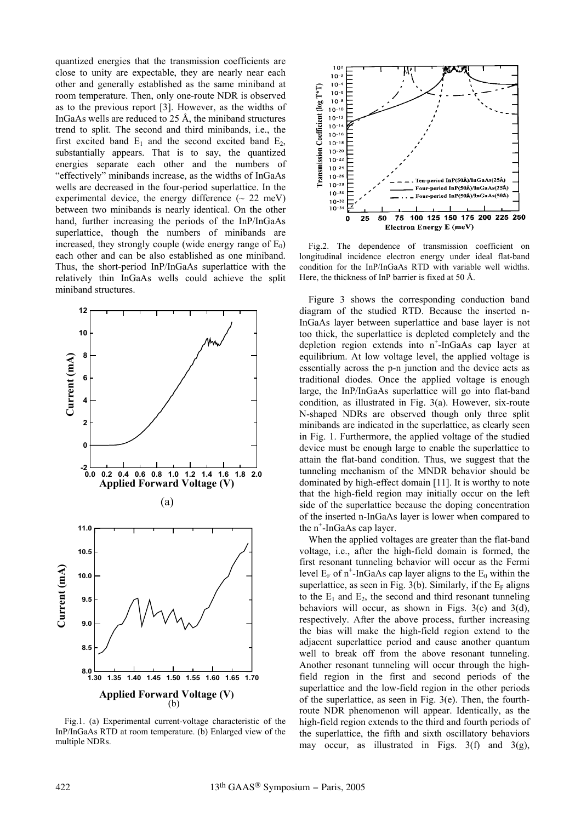quantized energies that the transmission coefficients are close to unity are expectable, they are nearly near each other and generally established as the same miniband at room temperature. Then, only one-route NDR is observed as to the previous report [3]. However, as the widths of InGaAs wells are reduced to 25 Å, the miniband structures trend to split. The second and third minibands, i.e., the first excited band  $E_1$  and the second excited band  $E_2$ , substantially appears. That is to say, the quantized energies separate each other and the numbers of "effectively" minibands increase, as the widths of InGaAs wells are decreased in the four-period superlattice. In the experimental device, the energy difference  $({\sim 22 \text{ meV}})$ between two minibands is nearly identical. On the other hand, further increasing the periods of the InP/InGaAs superlattice, though the numbers of minibands are increased, they strongly couple (wide energy range of  $E_0$ ) each other and can be also established as one miniband. Thus, the short-period InP/InGaAs superlattice with the relatively thin InGaAs wells could achieve the split miniband structures.



Fig.1. (a) Experimental current-voltage characteristic of the InP/InGaAs RTD at room temperature. (b) Enlarged view of the multiple NDRs.



Fig.2. The dependence of transmission coefficient on longitudinal incidence electron energy under ideal flat-band condition for the InP/InGaAs RTD with variable well widths. Here, the thickness of InP barrier is fixed at 50 Å.

Figure 3 shows the corresponding conduction band diagram of the studied RTD. Because the inserted n-InGaAs layer between superlattice and base layer is not too thick, the superlattice is depleted completely and the depletion region extends into n<sup>+</sup>-InGaAs cap layer at equilibrium. At low voltage level, the applied voltage is essentially across the p-n junction and the device acts as traditional diodes. Once the applied voltage is enough large, the InP/InGaAs superlattice will go into flat-band condition, as illustrated in Fig. 3(a). However, six-route N-shaped NDRs are observed though only three split minibands are indicated in the superlattice, as clearly seen in Fig. 1. Furthermore, the applied voltage of the studied device must be enough large to enable the superlattice to attain the flat-band condition. Thus, we suggest that the tunneling mechanism of the MNDR behavior should be dominated by high-effect domain [11]. It is worthy to note that the high-field region may initially occur on the left side of the superlattice because the doping concentration of the inserted n-InGaAs layer is lower when compared to the  $n^+$ -InGaAs cap layer.

When the applied voltages are greater than the flat-band voltage, i.e., after the high-field domain is formed, the first resonant tunneling behavior will occur as the Fermi level  $E_F$  of n<sup>+</sup>-InGaAs cap layer aligns to the  $E_0$  within the superlattice, as seen in Fig. 3(b). Similarly, if the  $E_F$  aligns to the  $E_1$  and  $E_2$ , the second and third resonant tunneling behaviors will occur, as shown in Figs. 3(c) and 3(d), respectively. After the above process, further increasing the bias will make the high-field region extend to the adjacent superlattice period and cause another quantum well to break off from the above resonant tunneling. Another resonant tunneling will occur through the highfield region in the first and second periods of the superlattice and the low-field region in the other periods of the superlattice, as seen in Fig. 3(e). Then, the fourthroute NDR phenomenon will appear. Identically, as the high-field region extends to the third and fourth periods of the superlattice, the fifth and sixth oscillatory behaviors may occur, as illustrated in Figs.  $3(f)$  and  $3(g)$ ,